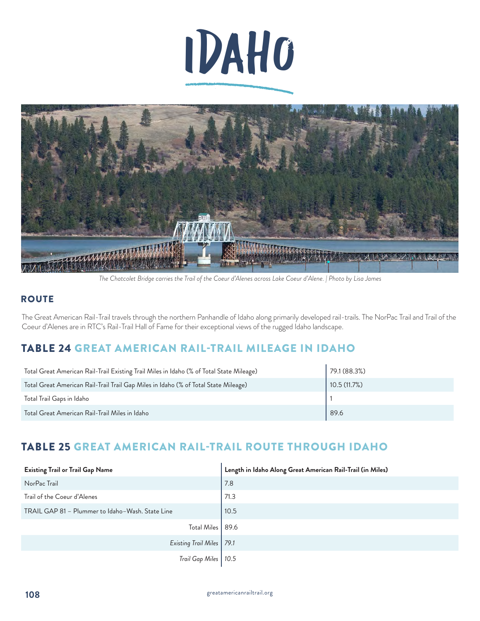



*The Chatcolet Bridge carries the Trail of the Coeur d'Alenes across Lake Coeur d'Alene. | Photo by Lisa James*

### **ROUTE**

The Great American Rail-Trail travels through the northern Panhandle of Idaho along primarily developed rail-trails. The NorPac Trail and Trail of the Coeur d'Alenes are in RTC's Rail-Trail Hall of Fame for their exceptional views of the rugged Idaho landscape.

# TABLE 24 GREAT AMERICAN RAIL-TRAIL MILEAGE IN IDAHO

| Total Great American Rail-Trail Existing Trail Miles in Idaho (% of Total State Mileage) | 79.1(88.3%) |
|------------------------------------------------------------------------------------------|-------------|
| Total Great American Rail-Trail Trail Gap Miles in Idaho (% of Total State Mileage)      | 10.5(11.7%) |
| Total Trail Gaps in Idaho                                                                |             |
| Total Great American Rail-Trail Miles in Idaho                                           | 89.6        |

# TABLE 25 GREAT AMERICAN RAIL-TRAIL ROUTE THROUGH IDAHO

| <b>Existing Trail or Trail Gap Name</b>          | Length in Idaho Along Great American Rail-Trail (in Miles) |
|--------------------------------------------------|------------------------------------------------------------|
| NorPac Trail                                     | 7.8                                                        |
| Trail of the Coeur d'Alenes                      | 71.3                                                       |
| TRAIL GAP 81 - Plummer to Idaho-Wash. State Line | 10.5                                                       |
| <b>Total Miles</b>                               | 89.6                                                       |
| Existing Trail Miles   79.1                      |                                                            |
| Trail Gap Miles   10.5                           |                                                            |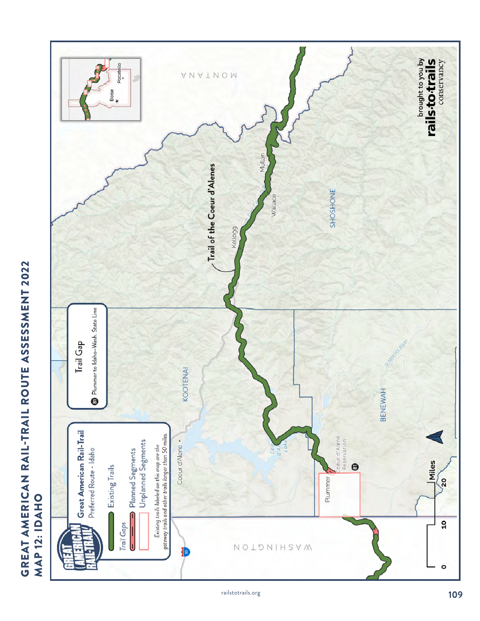

# **GREAT AMERICAN RAIL-TRAIL ROUTE ASSESSMENT 2022**